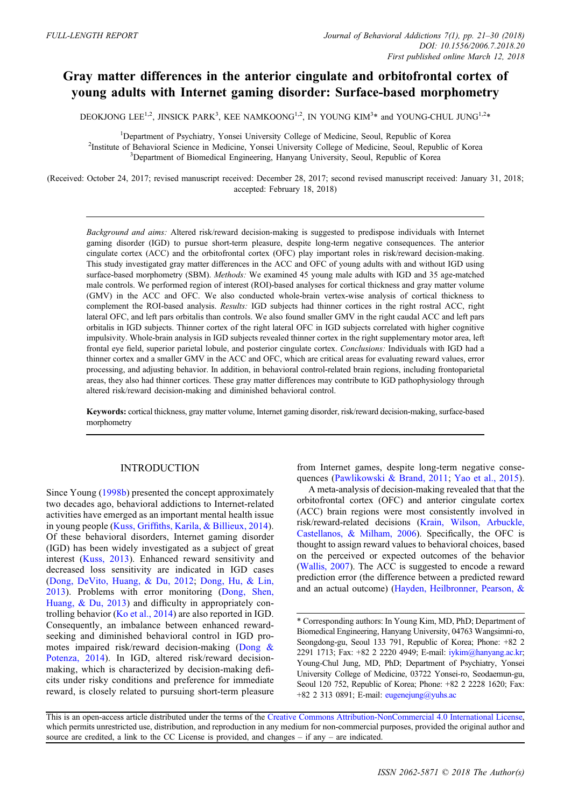# Gray matter differences in the anterior cingulate and orbitofrontal cortex of young adults with Internet gaming disorder: Surface-based morphometry

DEOKJONG LEE<sup>1,2</sup>, JINSICK PARK<sup>3</sup>, KEE NAMKOONG<sup>1,2</sup>, IN YOUNG KIM<sup>3</sup>\* and YOUNG-CHUL JUNG<sup>1,2</sup>\*

<sup>1</sup>Department of Psychiatry, Yonsei University College of Medicine, Seoul, Republic of Korea<sup>2</sup>Institute of Behavioral Science in Medicine, Nonsei University College of Medicine, Seoul, Penublic <sup>2</sup>Institute of Behavioral Science in Medicine, Yonsei University College of Medicine, Seoul, Republic of Korea <sup>3</sup>Department of Biomedical Engineering, Hanyang University, Seoul, Republic of Korea

(Received: October 24, 2017; revised manuscript received: December 28, 2017; second revised manuscript received: January 31, 2018; accepted: February 18, 2018)

Background and aims: Altered risk/reward decision-making is suggested to predispose individuals with Internet gaming disorder (IGD) to pursue short-term pleasure, despite long-term negative consequences. The anterior cingulate cortex (ACC) and the orbitofrontal cortex (OFC) play important roles in risk/reward decision-making. This study investigated gray matter differences in the ACC and OFC of young adults with and without IGD using surface-based morphometry (SBM). *Methods:* We examined 45 young male adults with IGD and 35 age-matched male controls. We performed region of interest (ROI)-based analyses for cortical thickness and gray matter volume (GMV) in the ACC and OFC. We also conducted whole-brain vertex-wise analysis of cortical thickness to complement the ROI-based analysis. Results: IGD subjects had thinner cortices in the right rostral ACC, right lateral OFC, and left pars orbitalis than controls. We also found smaller GMV in the right caudal ACC and left pars orbitalis in IGD subjects. Thinner cortex of the right lateral OFC in IGD subjects correlated with higher cognitive impulsivity. Whole-brain analysis in IGD subjects revealed thinner cortex in the right supplementary motor area, left frontal eye field, superior parietal lobule, and posterior cingulate cortex. Conclusions: Individuals with IGD had a thinner cortex and a smaller GMV in the ACC and OFC, which are critical areas for evaluating reward values, error processing, and adjusting behavior. In addition, in behavioral control-related brain regions, including frontoparietal areas, they also had thinner cortices. These gray matter differences may contribute to IGD pathophysiology through altered risk/reward decision-making and diminished behavioral control.

Keywords: cortical thickness, gray matter volume, Internet gaming disorder, risk/reward decision-making, surface-based morphometry

# INTRODUCTION

Since Young [\(1998b\)](#page-9-0) presented the concept approximately two decades ago, behavioral addictions to Internet-related activities have emerged as an important mental health issue in young people (Kuss, Griffi[ths, Karila, & Billieux, 2014\)](#page-8-0). Of these behavioral disorders, Internet gaming disorder (IGD) has been widely investigated as a subject of great interest [\(Kuss, 2013\)](#page-7-0). Enhanced reward sensitivity and decreased loss sensitivity are indicated in IGD cases ([Dong, DeVito, Huang, & Du, 2012](#page-6-0); [Dong, Hu, & Lin,](#page-7-0) [2013\)](#page-7-0). Problems with error monitoring [\(Dong, Shen,](#page-7-0) [Huang, & Du, 2013](#page-7-0)) and difficulty in appropriately controlling behavior [\(Ko et al., 2014\)](#page-7-0) are also reported in IGD. Consequently, an imbalance between enhanced rewardseeking and diminished behavioral control in IGD promotes impaired risk/reward decision-making [\(Dong &](#page-7-0) [Potenza, 2014](#page-7-0)). In IGD, altered risk/reward decisionmaking, which is characterized by decision-making deficits under risky conditions and preference for immediate reward, is closely related to pursuing short-term pleasure from Internet games, despite long-term negative consequences [\(Pawlikowski & Brand, 2011;](#page-8-0) [Yao et al., 2015](#page-8-0)).

A meta-analysis of decision-making revealed that that the orbitofrontal cortex (OFC) and anterior cingulate cortex (ACC) brain regions were most consistently involved in risk/reward-related decisions [\(Krain, Wilson, Arbuckle,](#page-7-0) [Castellanos, & Milham, 2006](#page-7-0)). Specifically, the OFC is thought to assign reward values to behavioral choices, based on the perceived or expected outcomes of the behavior ([Wallis, 2007\)](#page-8-0). The ACC is suggested to encode a reward prediction error (the difference between a predicted reward and an actual outcome) [\(Hayden, Heilbronner, Pearson, &](#page-7-0)

<sup>\*</sup> Corresponding authors: In Young Kim, MD, PhD; Department of Biomedical Engineering, Hanyang University, 04763 Wangsimni-ro, Seongdong-gu, Seoul 133 791, Republic of Korea; Phone: +82 2<br>
2291 1713; Fax: +82 2 2220 4949; E-mail: iykim@hanyang.ac.kr;<br>
Young-Chul Jung, MD, PhD; Department of Psychiatry, Yonsei 2291 1713; Fax: +82 2 2220 4949; E-mail: [iykim@hanyang.ac.kr;](mailto:iykim@hanyang.ac.kr) Young-Chul Jung, MD, PhD; Department of Psychiatry, Yonsei<br>University College of Medicine, 03722 Yonsei-ro, Seodaemun-gu, Seoul 120 752, Republic of Korea; Phone: +82 2 2228 1620; Fax: Foung-Chur Jung, MD, Filip, Department of<br>University College of Medicine, 03722 Yonse<br>Seoul 120 752, Republic of Korea; Phone: +82<br>+82 2 313 0891; E-mail: [eugenejung@yuhs.ac](mailto:eugenejung@yuhs.ac)

This is an open-access article distributed under the terms of the [Creative Commons Attribution-NonCommercial 4.0 International License,](http://creativecommons.org/licenses/by-nc/4.0/) which permits unrestricted use, distribution, and reproduction in any medium for non-commercial purposes, provided the original author and source are credited, a link to the CC License is provided, and changes – if any – are indicated.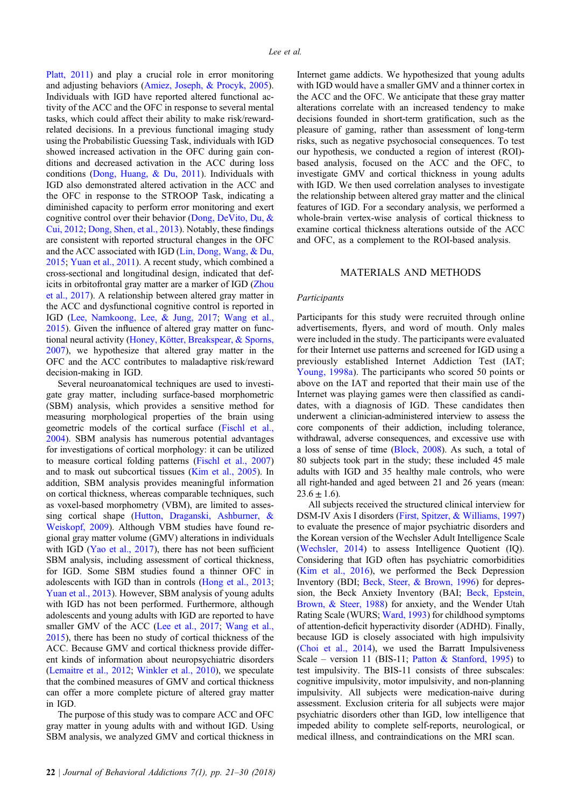[Platt, 2011\)](#page-7-0) and play a crucial role in error monitoring and adjusting behaviors [\(Amiez, Joseph, & Procyk, 2005\)](#page-6-0). Individuals with IGD have reported altered functional activity of the ACC and the OFC in response to several mental tasks, which could affect their ability to make risk/rewardrelated decisions. In a previous functional imaging study using the Probabilistic Guessing Task, individuals with IGD showed increased activation in the OFC during gain conditions and decreased activation in the ACC during loss conditions ([Dong, Huang, & Du, 2011](#page-7-0)). Individuals with IGD also demonstrated altered activation in the ACC and the OFC in response to the STROOP Task, indicating a diminished capacity to perform error monitoring and exert cognitive control over their behavior [\(Dong, DeVito, Du, &](#page-7-0) [Cui, 2012](#page-7-0); [Dong, Shen, et al., 2013\)](#page-7-0). Notably, these findings are consistent with reported structural changes in the OFC and the ACC associated with IGD [\(Lin, Dong, Wang, & Du,](#page-8-0) [2015](#page-8-0); [Yuan et al., 2011\)](#page-9-0). A recent study, which combined a cross-sectional and longitudinal design, indicated that deficits in orbitofrontal gray matter are a marker of IGD ([Zhou](#page-9-0) [et al., 2017\)](#page-9-0). A relationship between altered gray matter in the ACC and dysfunctional cognitive control is reported in IGD ([Lee, Namkoong, Lee, & Jung, 2017](#page-8-0); [Wang et al.,](#page-8-0) [2015](#page-8-0)). Given the influence of altered gray matter on functional neural activity ([Honey, Kötter, Breakspear, & Sporns,](#page-7-0) [2007](#page-7-0)), we hypothesize that altered gray matter in the OFC and the ACC contributes to maladaptive risk/reward decision-making in IGD.

Several neuroanatomical techniques are used to investigate gray matter, including surface-based morphometric (SBM) analysis, which provides a sensitive method for measuring morphological properties of the brain using geometric models of the cortical surface [\(Fischl et al.,](#page-7-0) [2004](#page-7-0)). SBM analysis has numerous potential advantages for investigations of cortical morphology: it can be utilized to measure cortical folding patterns ([Fischl et al., 2007](#page-7-0)) and to mask out subcortical tissues ([Kim et al., 2005\)](#page-7-0). In addition, SBM analysis provides meaningful information on cortical thickness, whereas comparable techniques, such as voxel-based morphometry (VBM), are limited to assessing cortical shape [\(Hutton, Draganski, Ashburner, &](#page-7-0) [Weiskopf, 2009\)](#page-7-0). Although VBM studies have found regional gray matter volume (GMV) alterations in individuals with IGD ([Yao et al., 2017\)](#page-8-0), there has not been sufficient SBM analysis, including assessment of cortical thickness, for IGD. Some SBM studies found a thinner OFC in adolescents with IGD than in controls ([Hong et al., 2013;](#page-7-0) [Yuan et al., 2013](#page-9-0)). However, SBM analysis of young adults with IGD has not been performed. Furthermore, although adolescents and young adults with IGD are reported to have smaller GMV of the ACC [\(Lee et al., 2017;](#page-8-0) [Wang et al.,](#page-8-0) [2015](#page-8-0)), there has been no study of cortical thickness of the ACC. Because GMV and cortical thickness provide different kinds of information about neuropsychiatric disorders [\(Lemaitre et al., 2012;](#page-8-0) [Winkler et al., 2010\)](#page-8-0), we speculate that the combined measures of GMV and cortical thickness can offer a more complete picture of altered gray matter in IGD.

The purpose of this study was to compare ACC and OFC gray matter in young adults with and without IGD. Using SBM analysis, we analyzed GMV and cortical thickness in

Internet game addicts. We hypothesized that young adults with IGD would have a smaller GMV and a thinner cortex in the ACC and the OFC. We anticipate that these gray matter alterations correlate with an increased tendency to make decisions founded in short-term gratification, such as the pleasure of gaming, rather than assessment of long-term risks, such as negative psychosocial consequences. To test our hypothesis, we conducted a region of interest (ROI) based analysis, focused on the ACC and the OFC, to investigate GMV and cortical thickness in young adults with IGD. We then used correlation analyses to investigate the relationship between altered gray matter and the clinical features of IGD. For a secondary analysis, we performed a whole-brain vertex-wise analysis of cortical thickness to examine cortical thickness alterations outside of the ACC and OFC, as a complement to the ROI-based analysis.

## MATERIALS AND METHODS

#### Participants

Participants for this study were recruited through online advertisements, flyers, and word of mouth. Only males were included in the study. The participants were evaluated for their Internet use patterns and screened for IGD using a previously established Internet Addiction Test (IAT; [Young, 1998a](#page-9-0)). The participants who scored 50 points or above on the IAT and reported that their main use of the Internet was playing games were then classified as candidates, with a diagnosis of IGD. These candidates then underwent a clinician-administered interview to assess the core components of their addiction, including tolerance, withdrawal, adverse consequences, and excessive use with a loss of sense of time [\(Block, 2008](#page-6-0)). As such, a total of 80 subjects took part in the study; these included 45 male adults with IGD and 35 healthy male controls, who were all right-handed and aged between 21 and 26 years (mean:  $23.6 \pm 1.6$ ).

All subjects received the structured clinical interview for DSM-IV Axis I disorders [\(First, Spitzer, & Williams, 1997\)](#page-7-0) to evaluate the presence of major psychiatric disorders and the Korean version of the Wechsler Adult Intelligence Scale ([Wechsler, 2014](#page-8-0)) to assess Intelligence Quotient (IQ). Considering that IGD often has psychiatric comorbidities ([Kim et al., 2016](#page-7-0)), we performed the Beck Depression Inventory (BDI; [Beck, Steer, & Brown, 1996](#page-6-0)) for depression, the Beck Anxiety Inventory (BAI; [Beck, Epstein,](#page-6-0) [Brown, & Steer, 1988\)](#page-6-0) for anxiety, and the Wender Utah Rating Scale (WURS; [Ward, 1993](#page-8-0)) for childhood symptoms of attention-deficit hyperactivity disorder (ADHD). Finally, because IGD is closely associated with high impulsivity ([Choi et al., 2014\)](#page-6-0), we used the Barratt Impulsiveness Scale – version 11 (BIS-11; [Patton & Stanford, 1995](#page-8-0)) to test impulsivity. The BIS-11 consists of three subscales: cognitive impulsivity, motor impulsivity, and non-planning impulsivity. All subjects were medication-naive during assessment. Exclusion criteria for all subjects were major psychiatric disorders other than IGD, low intelligence that impeded ability to complete self-reports, neurological, or medical illness, and contraindications on the MRI scan.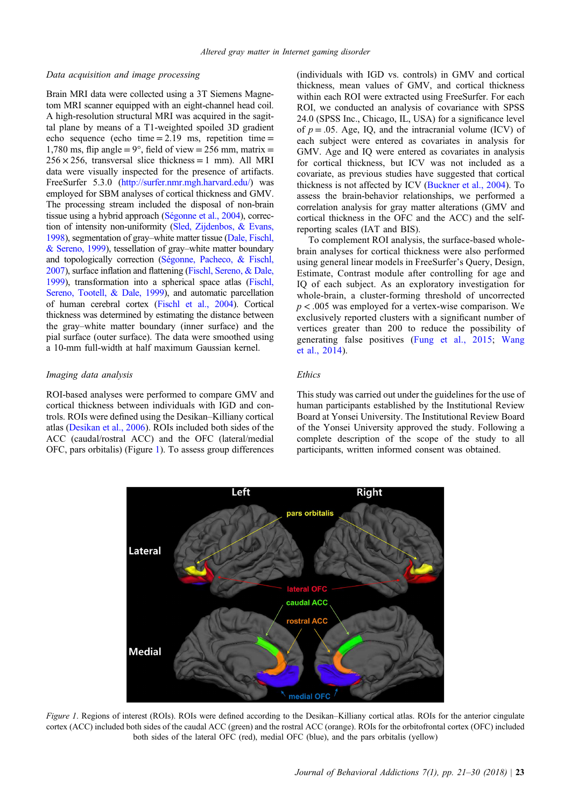#### Data acquisition and image processing

Brain MRI data were collected using a 3T Siemens Magnetom MRI scanner equipped with an eight-channel head coil. A high-resolution structural MRI was acquired in the sagittal plane by means of a T1-weighted spoiled 3D gradient echo sequence (echo time  $= 2.19$  ms, repetition time  $=$ 1,780 ms, flip angle =  $9^{\circ}$ , field of view = 256 mm, matrix =  $256 \times 256$ , transversal slice thickness = 1 mm). All MRI data were visually inspected for the presence of artifacts. FreeSurfer 5.3.0 ([http://surfer.nmr.mgh.harvard.edu/\)](http://surfer.nmr.mgh.harvard.edu/) was employed for SBM analyses of cortical thickness and GMV. The processing stream included the disposal of non-brain tissue using a hybrid approach ([Ségonne et al., 2004\)](#page-8-0), correction of intensity non-uniformity ([Sled, Zijdenbos, & Evans,](#page-8-0) [1998\)](#page-8-0), segmentation of gray–white matter tissue [\(Dale, Fischl,](#page-6-0) [& Sereno, 1999](#page-6-0)), tessellation of gray–white matter boundary and topologically correction [\(Ségonne, Pacheco, & Fischl,](#page-8-0) [2007\)](#page-8-0), surface inflation and flattening [\(Fischl, Sereno, & Dale,](#page-7-0) [1999\)](#page-7-0), transformation into a spherical space atlas ([Fischl,](#page-7-0) [Sereno, Tootell, & Dale, 1999](#page-7-0)), and automatic parcellation of human cerebral cortex [\(Fischl et al., 2004](#page-7-0)). Cortical thickness was determined by estimating the distance between the gray–white matter boundary (inner surface) and the pial surface (outer surface). The data were smoothed using a 10-mm full-width at half maximum Gaussian kernel.

## Imaging data analysis

ROI-based analyses were performed to compare GMV and cortical thickness between individuals with IGD and controls. ROIs were defined using the Desikan–Killiany cortical atlas ([Desikan et al., 2006](#page-6-0)). ROIs included both sides of the ACC (caudal/rostral ACC) and the OFC (lateral/medial OFC, pars orbitalis) (Figure 1). To assess group differences

(individuals with IGD vs. controls) in GMV and cortical thickness, mean values of GMV, and cortical thickness within each ROI were extracted using FreeSurfer. For each ROI, we conducted an analysis of covariance with SPSS 24.0 (SPSS Inc., Chicago, IL, USA) for a significance level of  $p = .05$ . Age, IQ, and the intracranial volume (ICV) of each subject were entered as covariates in analysis for GMV. Age and IQ were entered as covariates in analysis for cortical thickness, but ICV was not included as a covariate, as previous studies have suggested that cortical thickness is not affected by ICV ([Buckner et al., 2004](#page-6-0)). To assess the brain-behavior relationships, we performed a correlation analysis for gray matter alterations (GMV and cortical thickness in the OFC and the ACC) and the selfreporting scales (IAT and BIS).

To complement ROI analysis, the surface-based wholebrain analyses for cortical thickness were also performed using general linear models in FreeSurfer's Query, Design, Estimate, Contrast module after controlling for age and IQ of each subject. As an exploratory investigation for whole-brain, a cluster-forming threshold of uncorrected  $p < .005$  was employed for a vertex-wise comparison. We exclusively reported clusters with a significant number of vertices greater than 200 to reduce the possibility of generating false positives ([Fung et al., 2015](#page-7-0); [Wang](#page-8-0) [et al., 2014\)](#page-8-0).

# Ethics

This study was carried out under the guidelines for the use of human participants established by the Institutional Review Board at Yonsei University. The Institutional Review Board of the Yonsei University approved the study. Following a complete description of the scope of the study to all participants, written informed consent was obtained.



Figure 1. Regions of interest (ROIs). ROIs were defined according to the Desikan–Killiany cortical atlas. ROIs for the anterior cingulate cortex (ACC) included both sides of the caudal ACC (green) and the rostral ACC (orange). ROIs for the orbitofrontal cortex (OFC) included both sides of the lateral OFC (red), medial OFC (blue), and the pars orbitalis (yellow)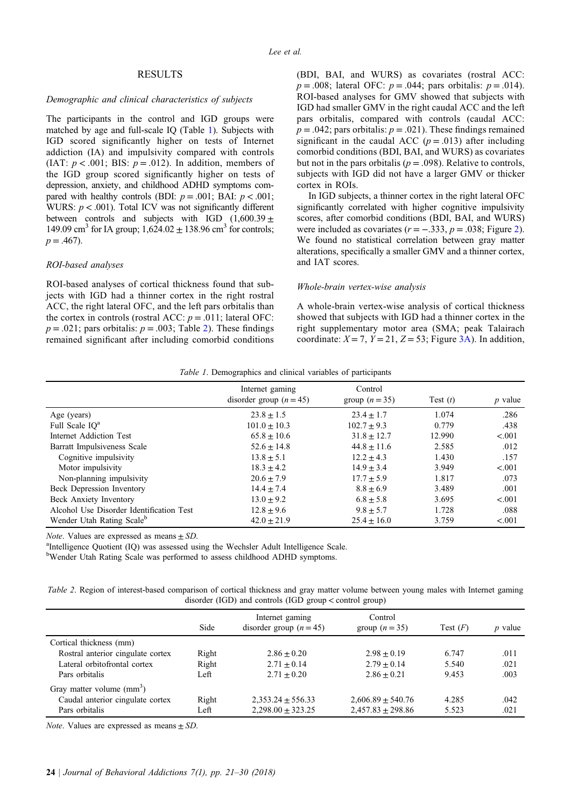# RESULTS

# Demographic and clinical characteristics of subjects

The participants in the control and IGD groups were matched by age and full-scale IQ (Table 1). Subjects with IGD scored significantly higher on tests of Internet addiction (IA) and impulsivity compared with controls (IAT:  $p < .001$ ; BIS:  $p = .012$ ). In addition, members of the IGD group scored significantly higher on tests of depression, anxiety, and childhood ADHD symptoms compared with healthy controls (BDI:  $p = .001$ ; BAI:  $p < .001$ ; WURS:  $p < .001$ ). Total ICV was not significantly different between controls and subjects with IGD  $(1,600.39 \pm$ 149.09 cm<sup>3</sup> for IA group;  $1,624.02 \pm 138.96$  cm<sup>3</sup> for controls;  $p = .467$ ).

#### ROI-based analyses

ROI-based analyses of cortical thickness found that subjects with IGD had a thinner cortex in the right rostral ACC, the right lateral OFC, and the left pars orbitalis than the cortex in controls (rostral ACC:  $p = .011$ ; lateral OFC:  $p = .021$ ; pars orbitalis:  $p = .003$ ; Table 2). These findings remained significant after including comorbid conditions

(BDI, BAI, and WURS) as covariates (rostral ACC:  $p = .008$ ; lateral OFC:  $p = .044$ ; pars orbitalis:  $p = .014$ ). ROI-based analyses for GMV showed that subjects with IGD had smaller GMV in the right caudal ACC and the left pars orbitalis, compared with controls (caudal ACC:  $p = .042$ ; pars orbitalis:  $p = .021$ ). These findings remained significant in the caudal ACC  $(p=.013)$  after including comorbid conditions (BDI, BAI, and WURS) as covariates but not in the pars orbitalis ( $p = .098$ ). Relative to controls, subjects with IGD did not have a larger GMV or thicker cortex in ROIs.

In IGD subjects, a thinner cortex in the right lateral OFC significantly correlated with higher cognitive impulsivity scores, after comorbid conditions (BDI, BAI, and WURS) were included as covariates ( $r = -.333$ ,  $p = .038$ ; Figure [2](#page-4-0)). We found no statistical correlation between gray matter alterations, specifically a smaller GMV and a thinner cortex, and IAT scores.

### Whole-brain vertex-wise analysis

A whole-brain vertex-wise analysis of cortical thickness showed that subjects with IGD had a thinner cortex in the right supplementary motor area (SMA; peak Talairach coordinate:  $X = 7$ ,  $Y = 21$ ,  $Z = 53$ ; Figure [3A](#page-4-0)). In addition,

|  |  |  | Table 1. Demographics and clinical variables of participants |
|--|--|--|--------------------------------------------------------------|
|  |  |  |                                                              |

|                                          | Internet gaming<br>disorder group $(n = 45)$ | Control<br>group $(n=35)$ | Test $(t)$ | $p$ value |
|------------------------------------------|----------------------------------------------|---------------------------|------------|-----------|
| Age (years)                              | $23.8 \pm 1.5$                               | $23.4 + 1.7$              | 1.074      | .286      |
| Full Scale IO <sup>a</sup>               | $101.0 \pm 10.3$                             | $102.7 + 9.3$             | 0.779      | .438      |
| Internet Addiction Test                  | $65.8 \pm 10.6$                              | $31.8 \pm 12.7$           | 12.990     | < 0.001   |
| Barratt Impulsiveness Scale              | $52.6 \pm 14.8$                              | $44.8 \pm 11.6$           | 2.585      | .012      |
| Cognitive impulsivity                    | $13.8 \pm 5.1$                               | $12.2 + 4.3$              | 1.430      | .157      |
| Motor impulsivity                        | $18.3 + 4.2$                                 | $14.9 + 3.4$              | 3.949      | < 0.001   |
| Non-planning impulsivity                 | $20.6 \pm 7.9$                               | $17.7 \pm 5.9$            | 1.817      | .073      |
| Beck Depression Inventory                | $14.4 \pm 7.4$                               | $8.8 + 6.9$               | 3.489      | .001      |
| Beck Anxiety Inventory                   | $13.0 + 9.2$                                 | $6.8 + 5.8$               | 3.695      | < 0.001   |
| Alcohol Use Disorder Identification Test | $12.8 \pm 9.6$                               | $9.8 + 5.7$               | 1.728      | .088      |
| Wender Utah Rating Scale <sup>b</sup>    | $42.0 + 21.9$                                | $25.4 \pm 16.0$           | 3.759      | < .001    |

*Note.* Values are expressed as means  $\pm$  *SD*.

<sup>a</sup>Intelligence Quotient (IQ) was assessed using the Wechsler Adult Intelligence Scale.

<sup>b</sup>Wender Utah Rating Scale was performed to assess childhood ADHD symptoms.

| Table 2. Region of interest-based comparison of cortical thickness and gray matter volume between young males with Internet gaming |                                                             |  |  |  |  |  |  |
|------------------------------------------------------------------------------------------------------------------------------------|-------------------------------------------------------------|--|--|--|--|--|--|
|                                                                                                                                    | disorder (IGD) and controls (IGD group $\lt$ control group) |  |  |  |  |  |  |

|                                      | Side  | Internet gaming<br>disorder group $(n = 45)$ | Control<br>group $(n=35)$ | Test $(F)$ | $p$ value |
|--------------------------------------|-------|----------------------------------------------|---------------------------|------------|-----------|
| Cortical thickness (mm)              |       |                                              |                           |            |           |
| Rostral anterior cingulate cortex    | Right | $2.86 + 0.20$                                | $2.98 + 0.19$             | 6.747      | .011      |
| Lateral orbitofrontal cortex         | Right | $2.71 + 0.14$                                | $2.79 + 0.14$             | 5.540      | .021      |
| Pars orbitalis                       | Left  | $2.71 + 0.20$                                | $2.86 + 0.21$             | 9.453      | .003      |
| Gray matter volume $\text{(mm)}^3$ ) |       |                                              |                           |            |           |
| Caudal anterior cingulate cortex     | Right | $2,353.24 \pm 556.33$                        | $2,606.89 \pm 540.76$     | 4.285      | .042      |
| Pars orbitalis                       | Left  | $2,298.00 \pm 323.25$                        | $2,457.83 \pm 298.86$     | 5.523      | .021      |

*Note.* Values are expressed as means  $\pm$  *SD*.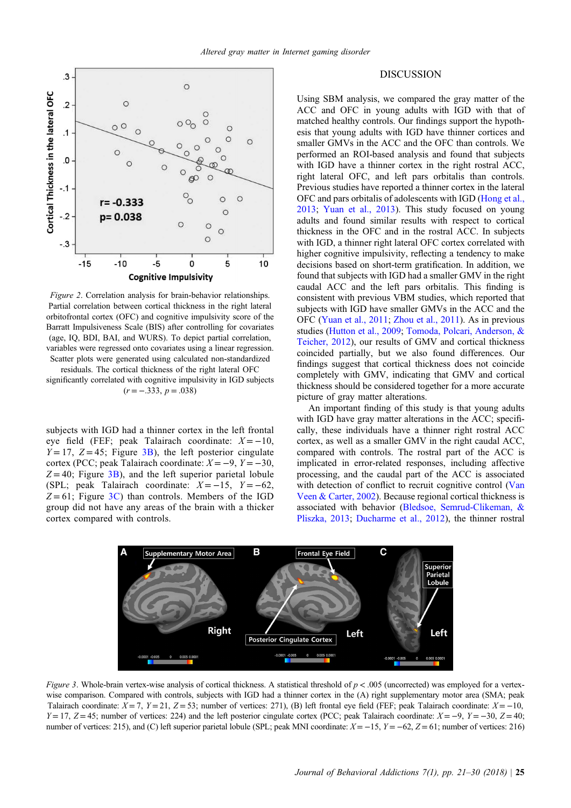<span id="page-4-0"></span>

Figure 2. Correlation analysis for brain-behavior relationships. Partial correlation between cortical thickness in the right lateral orbitofrontal cortex (OFC) and cognitive impulsivity score of the Barratt Impulsiveness Scale (BIS) after controlling for covariates (age, IQ, BDI, BAI, and WURS). To depict partial correlation, variables were regressed onto covariates using a linear regression. Scatter plots were generated using calculated non-standardized

residuals. The cortical thickness of the right lateral OFC

significantly correlated with cognitive impulsivity in IGD subjects  $(r = -.333, p = .038)$ 

subjects with IGD had a thinner cortex in the left frontal eye field (FEF; peak Talairach coordinate:  $X = -10$ ,  $Y = 17$ ,  $Z = 45$ ; Figure 3B), the left posterior cingulate cortex (PCC; peak Talairach coordinate:  $X = -9$ ,  $Y = -30$ ,  $Z = 40$ ; Figure 3B), and the left superior parietal lobule (SPL; peak Talairach coordinate:  $X = -15$ ,  $Y = -62$ ,  $Z = 61$ ; Figure 3C) than controls. Members of the IGD group did not have any areas of the brain with a thicker cortex compared with controls.

# DISCUSSION

Using SBM analysis, we compared the gray matter of the ACC and OFC in young adults with IGD with that of matched healthy controls. Our findings support the hypothesis that young adults with IGD have thinner cortices and smaller GMVs in the ACC and the OFC than controls. We performed an ROI-based analysis and found that subjects with IGD have a thinner cortex in the right rostral ACC, right lateral OFC, and left pars orbitalis than controls. Previous studies have reported a thinner cortex in the lateral OFC and pars orbitalis of adolescents with IGD [\(Hong et al.,](#page-7-0) [2013;](#page-7-0) [Yuan et al., 2013](#page-9-0)). This study focused on young adults and found similar results with respect to cortical thickness in the OFC and in the rostral ACC. In subjects with IGD, a thinner right lateral OFC cortex correlated with higher cognitive impulsivity, reflecting a tendency to make decisions based on short-term gratification. In addition, we found that subjects with IGD had a smaller GMV in the right caudal ACC and the left pars orbitalis. This finding is consistent with previous VBM studies, which reported that subjects with IGD have smaller GMVs in the ACC and the OFC [\(Yuan et al., 2011;](#page-9-0) [Zhou et al., 2011\)](#page-9-0). As in previous studies [\(Hutton et al., 2009](#page-7-0); [Tomoda, Polcari, Anderson, &](#page-8-0) [Teicher, 2012\)](#page-8-0), our results of GMV and cortical thickness coincided partially, but we also found differences. Our findings suggest that cortical thickness does not coincide completely with GMV, indicating that GMV and cortical thickness should be considered together for a more accurate picture of gray matter alterations.

An important finding of this study is that young adults with IGD have gray matter alterations in the ACC; specifically, these individuals have a thinner right rostral ACC cortex, as well as a smaller GMV in the right caudal ACC, compared with controls. The rostral part of the ACC is implicated in error-related responses, including affective processing, and the caudal part of the ACC is associated with detection of conflict to recruit cognitive control ([Van](#page-8-0) [Veen & Carter, 2002\)](#page-8-0). Because regional cortical thickness is associated with behavior [\(Bledsoe, Semrud-Clikeman, &](#page-6-0) [Pliszka, 2013;](#page-6-0) [Ducharme et al., 2012](#page-7-0)), the thinner rostral



Figure 3. Whole-brain vertex-wise analysis of cortical thickness. A statistical threshold of  $p < .005$  (uncorrected) was employed for a vertexwise comparison. Compared with controls, subjects with IGD had a thinner cortex in the (A) right supplementary motor area (SMA; peak Talairach coordinate:  $X = 7$ ,  $Y = 21$ ,  $Z = 53$ ; number of vertices: 271), (B) left frontal eye field (FEF; peak Talairach coordinate:  $X = -10$ ,  $Y = 17$ ,  $Z = 45$ ; number of vertices: 224) and the left posterior cingulate cortex (PCC; peak Talairach coordinate:  $X = -9$ ,  $Y = -30$ ,  $Z = 40$ ; number of vertices: 215), and (C) left superior parietal lobule (SPL; peak MNI coordinate:  $X = -15$ ,  $Y = -62$ ,  $Z = 61$ ; number of vertices: 216)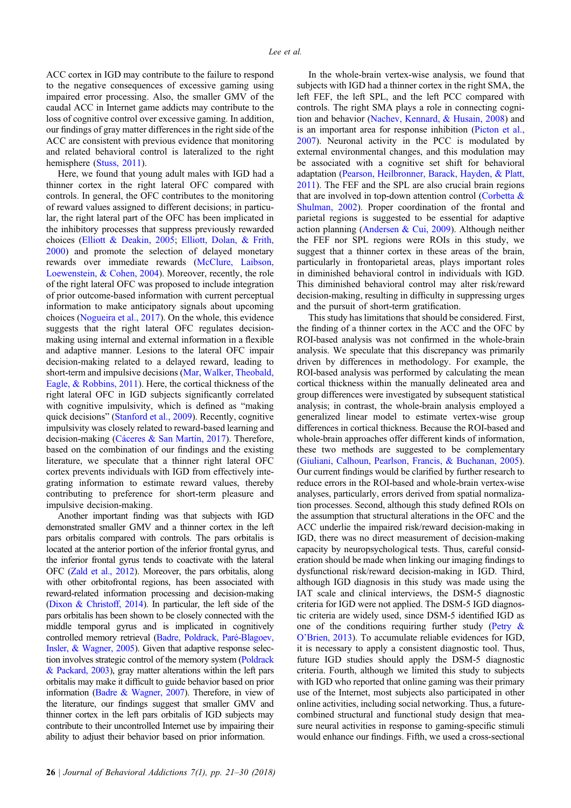ACC cortex in IGD may contribute to the failure to respond to the negative consequences of excessive gaming using impaired error processing. Also, the smaller GMV of the caudal ACC in Internet game addicts may contribute to the loss of cognitive control over excessive gaming. In addition, our findings of gray matter differences in the right side of the ACC are consistent with previous evidence that monitoring and related behavioral control is lateralized to the right hemisphere ([Stuss, 2011\)](#page-8-0).

Here, we found that young adult males with IGD had a thinner cortex in the right lateral OFC compared with controls. In general, the OFC contributes to the monitoring of reward values assigned to different decisions; in particular, the right lateral part of the OFC has been implicated in the inhibitory processes that suppress previously rewarded choices [\(Elliott & Deakin, 2005](#page-7-0); [Elliott, Dolan, & Frith,](#page-7-0) [2000](#page-7-0)) and promote the selection of delayed monetary rewards over immediate rewards [\(McClure, Laibson,](#page-8-0) [Loewenstein, & Cohen, 2004\)](#page-8-0). Moreover, recently, the role of the right lateral OFC was proposed to include integration of prior outcome-based information with current perceptual information to make anticipatory signals about upcoming choices ([Nogueira et al., 2017](#page-8-0)). On the whole, this evidence suggests that the right lateral OFC regulates decisionmaking using internal and external information in a flexible and adaptive manner. Lesions to the lateral OFC impair decision-making related to a delayed reward, leading to short-term and impulsive decisions ([Mar, Walker, Theobald,](#page-8-0) [Eagle, & Robbins, 2011](#page-8-0)). Here, the cortical thickness of the right lateral OFC in IGD subjects significantly correlated with cognitive impulsivity, which is defined as "making quick decisions" ([Stanford et al., 2009](#page-8-0)). Recently, cognitive impulsivity was closely related to reward-based learning and decision-making [\(Cáceres & San Martín, 2017\)](#page-6-0). Therefore, based on the combination of our findings and the existing literature, we speculate that a thinner right lateral OFC cortex prevents individuals with IGD from effectively integrating information to estimate reward values, thereby contributing to preference for short-term pleasure and impulsive decision-making.

Another important finding was that subjects with IGD demonstrated smaller GMV and a thinner cortex in the left pars orbitalis compared with controls. The pars orbitalis is located at the anterior portion of the inferior frontal gyrus, and the inferior frontal gyrus tends to coactivate with the lateral OFC [\(Zald et al., 2012\)](#page-9-0). Moreover, the pars orbitalis, along with other orbitofrontal regions, has been associated with reward-related information processing and decision-making [\(Dixon & Christoff, 2014](#page-6-0)). In particular, the left side of the pars orbitalis has been shown to be closely connected with the middle temporal gyrus and is implicated in cognitively controlled memory retrieval [\(Badre, Poldrack, Paré-Blagoev,](#page-6-0) [Insler, & Wagner, 2005](#page-6-0)). Given that adaptive response selection involves strategic control of the memory system [\(Poldrack](#page-8-0) [& Packard, 2003](#page-8-0)), gray matter alterations within the left pars orbitalis may make it difficult to guide behavior based on prior information [\(Badre & Wagner, 2007](#page-6-0)). Therefore, in view of the literature, our findings suggest that smaller GMV and thinner cortex in the left pars orbitalis of IGD subjects may contribute to their uncontrolled Internet use by impairing their ability to adjust their behavior based on prior information.

In the whole-brain vertex-wise analysis, we found that subjects with IGD had a thinner cortex in the right SMA, the left FEF, the left SPL, and the left PCC compared with controls. The right SMA plays a role in connecting cognition and behavior [\(Nachev, Kennard, & Husain, 2008](#page-8-0)) and is an important area for response inhibition ([Picton et al.,](#page-8-0) [2007\)](#page-8-0). Neuronal activity in the PCC is modulated by external environmental changes, and this modulation may be associated with a cognitive set shift for behavioral adaptation ([Pearson, Heilbronner, Barack, Hayden, & Platt,](#page-8-0) [2011\)](#page-8-0). The FEF and the SPL are also crucial brain regions that are involved in top-down attention control [\(Corbetta &](#page-6-0) [Shulman, 2002\)](#page-6-0). Proper coordination of the frontal and parietal regions is suggested to be essential for adaptive action planning [\(Andersen & Cui, 2009](#page-6-0)). Although neither the FEF nor SPL regions were ROIs in this study, we suggest that a thinner cortex in these areas of the brain, particularly in frontoparietal areas, plays important roles in diminished behavioral control in individuals with IGD. This diminished behavioral control may alter risk/reward decision-making, resulting in difficulty in suppressing urges and the pursuit of short-term gratification.

This study has limitations that should be considered. First, the finding of a thinner cortex in the ACC and the OFC by ROI-based analysis was not confirmed in the whole-brain analysis. We speculate that this discrepancy was primarily driven by differences in methodology. For example, the ROI-based analysis was performed by calculating the mean cortical thickness within the manually delineated area and group differences were investigated by subsequent statistical analysis; in contrast, the whole-brain analysis employed a generalized linear model to estimate vertex-wise group differences in cortical thickness. Because the ROI-based and whole-brain approaches offer different kinds of information, these two methods are suggested to be complementary ([Giuliani, Calhoun, Pearlson, Francis, & Buchanan, 2005](#page-7-0)). Our current findings would be clarified by further research to reduce errors in the ROI-based and whole-brain vertex-wise analyses, particularly, errors derived from spatial normalization processes. Second, although this study defined ROIs on the assumption that structural alterations in the OFC and the ACC underlie the impaired risk/reward decision-making in IGD, there was no direct measurement of decision-making capacity by neuropsychological tests. Thus, careful consideration should be made when linking our imaging findings to dysfunctional risk/reward decision-making in IGD. Third, although IGD diagnosis in this study was made using the IAT scale and clinical interviews, the DSM-5 diagnostic criteria for IGD were not applied. The DSM-5 IGD diagnostic criteria are widely used, since DSM-5 identified IGD as one of the conditions requiring further study (Petry  $\&$ O'[Brien, 2013](#page-8-0)). To accumulate reliable evidences for IGD, it is necessary to apply a consistent diagnostic tool. Thus, future IGD studies should apply the DSM-5 diagnostic criteria. Fourth, although we limited this study to subjects with IGD who reported that online gaming was their primary use of the Internet, most subjects also participated in other online activities, including social networking. Thus, a futurecombined structural and functional study design that measure neural activities in response to gaming-specific stimuli would enhance our findings. Fifth, we used a cross-sectional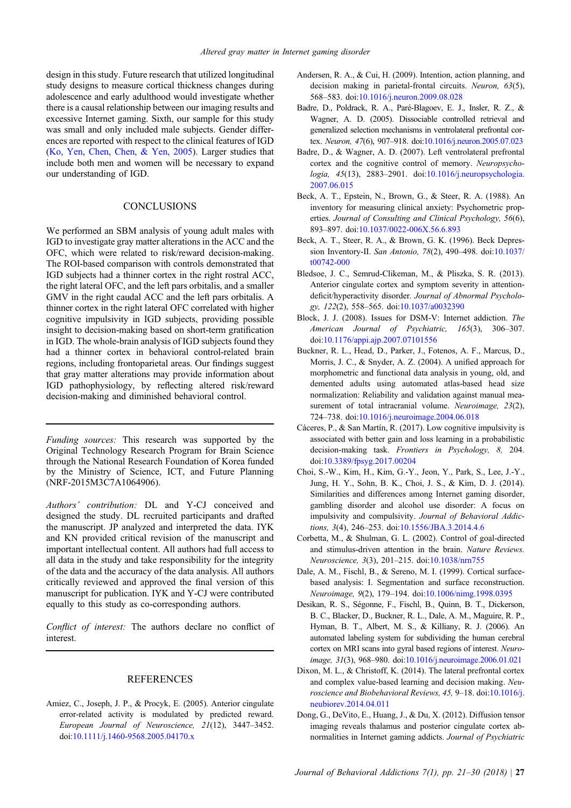<span id="page-6-0"></span>design in this study. Future research that utilized longitudinal study designs to measure cortical thickness changes during adolescence and early adulthood would investigate whether there is a causal relationship between our imaging results and excessive Internet gaming. Sixth, our sample for this study was small and only included male subjects. Gender differences are reported with respect to the clinical features of IGD [\(Ko, Yen, Chen, Chen, & Yen, 2005\)](#page-7-0). Larger studies that include both men and women will be necessary to expand our understanding of IGD.

# **CONCLUSIONS**

We performed an SBM analysis of young adult males with IGD to investigate gray matter alterations in the ACC and the OFC, which were related to risk/reward decision-making. The ROI-based comparison with controls demonstrated that IGD subjects had a thinner cortex in the right rostral ACC, the right lateral OFC, and the left pars orbitalis, and a smaller GMV in the right caudal ACC and the left pars orbitalis. A thinner cortex in the right lateral OFC correlated with higher cognitive impulsivity in IGD subjects, providing possible insight to decision-making based on short-term gratification in IGD. The whole-brain analysis of IGD subjects found they had a thinner cortex in behavioral control-related brain regions, including frontoparietal areas. Our findings suggest that gray matter alterations may provide information about IGD pathophysiology, by reflecting altered risk/reward decision-making and diminished behavioral control.

Funding sources: This research was supported by the Original Technology Research Program for Brain Science through the National Research Foundation of Korea funded by the Ministry of Science, ICT, and Future Planning (NRF-2015M3C7A1064906).

Authors' contribution: DL and Y-CJ conceived and designed the study. DL recruited participants and drafted the manuscript. JP analyzed and interpreted the data. IYK and KN provided critical revision of the manuscript and important intellectual content. All authors had full access to all data in the study and take responsibility for the integrity of the data and the accuracy of the data analysis. All authors critically reviewed and approved the final version of this manuscript for publication. IYK and Y-CJ were contributed equally to this study as co-corresponding authors.

Conflict of interest: The authors declare no conflict of interest.

# REFERENCES

Amiez, C., Joseph, J. P., & Procyk, E. (2005). Anterior cingulate error-related activity is modulated by predicted reward. European Journal of Neuroscience, 21(12), 3447–3452. doi:[10.1111/j.1460-9568.2005.04170.x](http://dx.doi.org/10.1111/j.1460-9568.2005.04170.x)

- Andersen, R. A., & Cui, H. (2009). Intention, action planning, and decision making in parietal-frontal circuits. Neuron, 63(5), 568–583. doi[:10.1016/j.neuron.2009.08.028](http://dx.doi.org/10.1016/j.neuron.2009.08.028)
- Badre, D., Poldrack, R. A., Paré-Blagoev, E. J., Insler, R. Z., & Wagner, A. D. (2005). Dissociable controlled retrieval and generalized selection mechanisms in ventrolateral prefrontal cortex. Neuron, 47(6), 907–918. doi[:10.1016/j.neuron.2005.07.023](http://dx.doi.org/10.1016/j.neuron.2005.07.023)
- Badre, D., & Wagner, A. D. (2007). Left ventrolateral prefrontal cortex and the cognitive control of memory. Neuropsychologia, 45(13), 2883–2901. doi:[10.1016/j.neuropsychologia.](http://dx.doi.org/10.1016/j.neuropsychologia.2007.06.015) [2007.06.015](http://dx.doi.org/10.1016/j.neuropsychologia.2007.06.015)
- Beck, A. T., Epstein, N., Brown, G., & Steer, R. A. (1988). An inventory for measuring clinical anxiety: Psychometric properties. Journal of Consulting and Clinical Psychology, 56(6), 893–897. doi[:10.1037/0022-006X.56.6.893](http://dx.doi.org/10.1037/0022-006X.56.6.893)
- Beck, A. T., Steer, R. A., & Brown, G. K. (1996). Beck Depression Inventory-II. San Antonio, 78(2), 490–498. doi[:10.1037/](http://dx.doi.org/10.1037/t00742-000) [t00742-000](http://dx.doi.org/10.1037/t00742-000)
- Bledsoe, J. C., Semrud-Clikeman, M., & Pliszka, S. R. (2013). Anterior cingulate cortex and symptom severity in attentiondeficit/hyperactivity disorder. Journal of Abnormal Psychology, 122(2), 558–565. doi[:10.1037/a0032390](http://dx.doi.org/10.1037/a0032390)
- Block, J. J. (2008). Issues for DSM-V: Internet addiction. The American Journal of Psychiatric, 165(3), 306–307. doi[:10.1176/appi.ajp.2007.07101556](http://dx.doi.org/10.1176/appi.ajp.2007.07101556)
- Buckner, R. L., Head, D., Parker, J., Fotenos, A. F., Marcus, D., Morris, J. C., & Snyder, A. Z. (2004). A unified approach for morphometric and functional data analysis in young, old, and demented adults using automated atlas-based head size normalization: Reliability and validation against manual measurement of total intracranial volume. Neuroimage, 23(2), 724–738. doi[:10.1016/j.neuroimage.2004.06.018](http://dx.doi.org/10.1016/j.neuroimage.2004.06.018)
- Cáceres, P., & San Martín, R. (2017). Low cognitive impulsivity is associated with better gain and loss learning in a probabilistic decision-making task. Frontiers in Psychology, 8, 204. doi[:10.3389/fpsyg.2017.00204](http://dx.doi.org/10.3389/fpsyg.2017.00204)
- Choi, S.-W., Kim, H., Kim, G.-Y., Jeon, Y., Park, S., Lee, J.-Y., Jung, H. Y., Sohn, B. K., Choi, J. S., & Kim, D. J. (2014). Similarities and differences among Internet gaming disorder, gambling disorder and alcohol use disorder: A focus on impulsivity and compulsivity. Journal of Behavioral Addictions, 3(4), 246–253. doi[:10.1556/JBA.3.2014.4.6](http://dx.doi.org/10.1556/JBA.3.2014.4.6)
- Corbetta, M., & Shulman, G. L. (2002). Control of goal-directed and stimulus-driven attention in the brain. Nature Reviews. Neuroscience, 3(3), 201–215. doi[:10.1038/nrn755](http://dx.doi.org/10.1038/nrn755)
- Dale, A. M., Fischl, B., & Sereno, M. I. (1999). Cortical surfacebased analysis: I. Segmentation and surface reconstruction. Neuroimage, 9(2), 179–194. doi[:10.1006/nimg.1998.0395](http://dx.doi.org/10.1006/nimg.1998.0395)
- Desikan, R. S., Ségonne, F., Fischl, B., Quinn, B. T., Dickerson, B. C., Blacker, D., Buckner, R. L., Dale, A. M., Maguire, R. P., Hyman, B. T., Albert, M. S., & Killiany, R. J. (2006). An automated labeling system for subdividing the human cerebral cortex on MRI scans into gyral based regions of interest. Neuroimage, 31(3), 968–980. doi[:10.1016/j.neuroimage.2006.01.021](http://dx.doi.org/10.1016/j.neuroimage.2006.01.021)
- Dixon, M. L., & Christoff, K. (2014). The lateral prefrontal cortex and complex value-based learning and decision making. Neuroscience and Biobehavioral Reviews, 45, 9–18. doi:[10.1016/j.](http://dx.doi.org/10.1016/j.neubiorev.2014.04.011) [neubiorev.2014.04.011](http://dx.doi.org/10.1016/j.neubiorev.2014.04.011)
- Dong, G., DeVito, E., Huang, J., & Du, X. (2012). Diffusion tensor imaging reveals thalamus and posterior cingulate cortex abnormalities in Internet gaming addicts. Journal of Psychiatric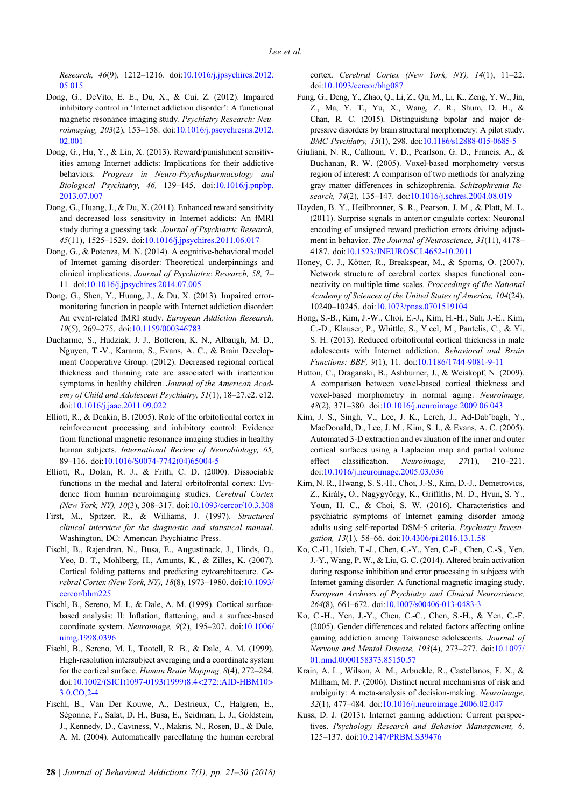<span id="page-7-0"></span>Research, 46(9), 1212–1216. doi:[10.1016/j.jpsychires.2012.](http://dx.doi.org/10.1016/j.jpsychires.2012.05.015) [05.015](http://dx.doi.org/10.1016/j.jpsychires.2012.05.015)

- Dong, G., DeVito, E. E., Du, X., & Cui, Z. (2012). Impaired inhibitory control in 'Internet addiction disorder': A functional magnetic resonance imaging study. Psychiatry Research: Neuroimaging, 203(2), 153–158. doi:[10.1016/j.pscychresns.2012.](http://dx.doi.org/10.1016/j.pscychresns.2012.02.001) [02.001](http://dx.doi.org/10.1016/j.pscychresns.2012.02.001)
- Dong, G., Hu, Y., & Lin, X. (2013). Reward/punishment sensitivities among Internet addicts: Implications for their addictive behaviors. Progress in Neuro-Psychopharmacology and Biological Psychiatry, 46, 139–145. doi:[10.1016/j.pnpbp.](http://dx.doi.org/10.1016/j.pnpbp.2013.07.007) [2013.07.007](http://dx.doi.org/10.1016/j.pnpbp.2013.07.007)
- Dong, G., Huang, J., & Du, X. (2011). Enhanced reward sensitivity and decreased loss sensitivity in Internet addicts: An fMRI study during a guessing task. Journal of Psychiatric Research, 45(11), 1525–1529. doi[:10.1016/j.jpsychires.2011.06.017](http://dx.doi.org/10.1016/j.jpsychires.2011.06.017)
- Dong, G., & Potenza, M. N. (2014). A cognitive-behavioral model of Internet gaming disorder: Theoretical underpinnings and clinical implications. Journal of Psychiatric Research, 58, 7– 11. doi[:10.1016/j.jpsychires.2014.07.005](http://dx.doi.org/10.1016/j.jpsychires.2014.07.005)
- Dong, G., Shen, Y., Huang, J., & Du, X. (2013). Impaired errormonitoring function in people with Internet addiction disorder: An event-related fMRI study. European Addiction Research, 19(5), 269–275. doi[:10.1159/000346783](http://dx.doi.org/10.1159/000346783)
- Ducharme, S., Hudziak, J. J., Botteron, K. N., Albaugh, M. D., Nguyen, T.-V., Karama, S., Evans, A. C., & Brain Development Cooperative Group. (2012). Decreased regional cortical thickness and thinning rate are associated with inattention symptoms in healthy children. Journal of the American Academy of Child and Adolescent Psychiatry, 51(1), 18–27.e2. e12. doi:[10.1016/j.jaac.2011.09.022](http://dx.doi.org/10.1016/j.jaac.2011.09.022)
- Elliott, R., & Deakin, B. (2005). Role of the orbitofrontal cortex in reinforcement processing and inhibitory control: Evidence from functional magnetic resonance imaging studies in healthy human subjects. International Review of Neurobiology, 65, 89–116. doi[:10.1016/S0074-7742\(04\)65004-5](http://dx.doi.org/10.1016/S0074-7742(04)65004-5)
- Elliott, R., Dolan, R. J., & Frith, C. D. (2000). Dissociable functions in the medial and lateral orbitofrontal cortex: Evidence from human neuroimaging studies. Cerebral Cortex (New York, NY), 10(3), 308–317. doi:[10.1093/cercor/10.3.308](http://dx.doi.org/10.1093/cercor)
- First, M., Spitzer, R., & Williams, J. (1997). Structured clinical interview for the diagnostic and statistical manual. Washington, DC: American Psychiatric Press.
- Fischl, B., Rajendran, N., Busa, E., Augustinack, J., Hinds, O., Yeo, B. T., Mohlberg, H., Amunts, K., & Zilles, K. (2007). Cortical folding patterns and predicting cytoarchitecture. Cerebral Cortex (New York, NY), 18(8), 1973–1980. doi:[10.1093/](http://dx.doi.org/10.1093/cercor) [cercor/bhm225](http://dx.doi.org/10.1093/cercor)
- Fischl, B., Sereno, M. I., & Dale, A. M. (1999). Cortical surfacebased analysis: II: Inflation, flattening, and a surface-based coordinate system. Neuroimage, 9(2), 195–207. doi:[10.1006/](http://dx.doi.org/10.1006/nimg.1998.0396) [nimg.1998.0396](http://dx.doi.org/10.1006/nimg.1998.0396)
- Fischl, B., Sereno, M. I., Tootell, R. B., & Dale, A. M. (1999). High-resolution intersubject averaging and a coordinate system for the cortical surface. Human Brain Mapping, 8(4), 272–284. doi[:10.1002/\(SICI\)1097-0193\(1999\)8:4](http://dx.doi.org/10.1002/(SICI)1097-0193(1999)8:4%3C272::AID-HBM10%3E3.0.CO;2-4)<272::AID-HBM10>  $3.0 \text{ CO} \cdot 2 - 4$
- Fischl, B., Van Der Kouwe, A., Destrieux, C., Halgren, E., Ségonne, F., Salat, D. H., Busa, E., Seidman, L. J., Goldstein, J., Kennedy, D., Caviness, V., Makris, N., Rosen, B., & Dale, A. M. (2004). Automatically parcellating the human cerebral

cortex. Cerebral Cortex (New York, NY), 14(1), 11–22. doi[:10.1093/cercor/bhg087](http://dx.doi.org/10.1093/cercor)

- Fung, G., Deng, Y., Zhao, Q., Li, Z., Qu, M., Li, K., Zeng, Y. W., Jin, Z., Ma, Y. T., Yu, X., Wang, Z. R., Shum, D. H., & Chan, R. C. (2015). Distinguishing bipolar and major depressive disorders by brain structural morphometry: A pilot study. BMC Psychiatry, 15(1), 298. doi[:10.1186/s12888-015-0685-5](http://dx.doi.org/10.1186/s12888-015-0685-5)
- Giuliani, N. R., Calhoun, V. D., Pearlson, G. D., Francis, A., & Buchanan, R. W. (2005). Voxel-based morphometry versus region of interest: A comparison of two methods for analyzing gray matter differences in schizophrenia. Schizophrenia Re-search, 74(2), 135–147. doi[:10.1016/j.schres.2004.08.019](http://dx.doi.org/10.1016/j.schres.2004.08.019)
- Hayden, B. Y., Heilbronner, S. R., Pearson, J. M., & Platt, M. L. (2011). Surprise signals in anterior cingulate cortex: Neuronal encoding of unsigned reward prediction errors driving adjustment in behavior. The Journal of Neuroscience, 31(11), 4178– 4187. doi:[10.1523/JNEUROSCI.4652-10.2011](http://dx.doi.org/10.1523/JNEUROSCI.4652-10.2011)
- Honey, C. J., Kötter, R., Breakspear, M., & Sporns, O. (2007). Network structure of cerebral cortex shapes functional connectivity on multiple time scales. Proceedings of the National Academy of Sciences of the United States of America, 104(24), 10240–10245. doi[:10.1073/pnas.0701519104](http://dx.doi.org/10.1073/pnas.0701519104)
- Hong, S.-B., Kim, J.-W., Choi, E.-J., Kim, H.-H., Suh, J.-E., Kim, C.-D., Klauser, P., Whittle, S., Y cel, M., Pantelis, C., & Yi, S. H. (2013). Reduced orbitofrontal cortical thickness in male adolescents with Internet addiction. Behavioral and Brain Functions: BBF, 9(1), 11. doi[:10.1186/1744-9081-9-11](http://dx.doi.org/10.1186/1744-9081-9-11)
- Hutton, C., Draganski, B., Ashburner, J., & Weiskopf, N. (2009). A comparison between voxel-based cortical thickness and voxel-based morphometry in normal aging. Neuroimage, 48(2), 371–380. doi:[10.1016/j.neuroimage.2009.06.043](http://dx.doi.org/10.1016/j.neuroimage.2009.06.043)
- Kim, J. S., Singh, V., Lee, J. K., Lerch, J., Ad-Dab'bagh, Y., MacDonald, D., Lee, J. M., Kim, S. I., & Evans, A. C. (2005). Automated 3-D extraction and evaluation of the inner and outer cortical surfaces using a Laplacian map and partial volume effect classification. Neuroimage, 27(1), 210–221. doi[:10.1016/j.neuroimage.2005.03.036](http://dx.doi.org/10.1016/j.neuroimage.2005.03.036)
- Kim, N. R., Hwang, S. S.-H., Choi, J.-S., Kim, D.-J., Demetrovics, Z., Király, O., Nagygyörgy, K., Griffiths, M. D., Hyun, S. Y., Youn, H. C., & Choi, S. W. (2016). Characteristics and psychiatric symptoms of Internet gaming disorder among adults using self-reported DSM-5 criteria. Psychiatry Investigation, 13(1), 58–66. doi[:10.4306/pi.2016.13.1.58](http://dx.doi.org/10.4306/pi.2016.13.1.58)
- Ko, C.-H., Hsieh, T.-J., Chen, C.-Y., Yen, C.-F., Chen, C.-S., Yen, J.-Y., Wang, P. W., & Liu, G. C. (2014). Altered brain activation during response inhibition and error processing in subjects with Internet gaming disorder: A functional magnetic imaging study. European Archives of Psychiatry and Clinical Neuroscience, 264(8), 661–672. doi:[10.1007/s00406-013-0483-3](http://dx.doi.org/10.1007/s00406-013-0483-3)
- Ko, C.-H., Yen, J.-Y., Chen, C.-C., Chen, S.-H., & Yen, C.-F. (2005). Gender differences and related factors affecting online gaming addiction among Taiwanese adolescents. Journal of Nervous and Mental Disease, 193(4), 273–277. doi[:10.1097/](http://dx.doi.org/10.1097/01.nmd.0000158373.85150.57) [01.nmd.0000158373.85150.57](http://dx.doi.org/10.1097/01.nmd.0000158373.85150.57)
- Krain, A. L., Wilson, A. M., Arbuckle, R., Castellanos, F. X., & Milham, M. P. (2006). Distinct neural mechanisms of risk and ambiguity: A meta-analysis of decision-making. Neuroimage, 32(1), 477–484. doi:[10.1016/j.neuroimage.2006.02.047](http://dx.doi.org/10.1016/j.neuroimage.2006.02.047)
- Kuss, D. J. (2013). Internet gaming addiction: Current perspectives. Psychology Research and Behavior Management, 6, 125–137. doi[:10.2147/PRBM.S39476](http://dx.doi.org/10.2147/PRBM.S39476)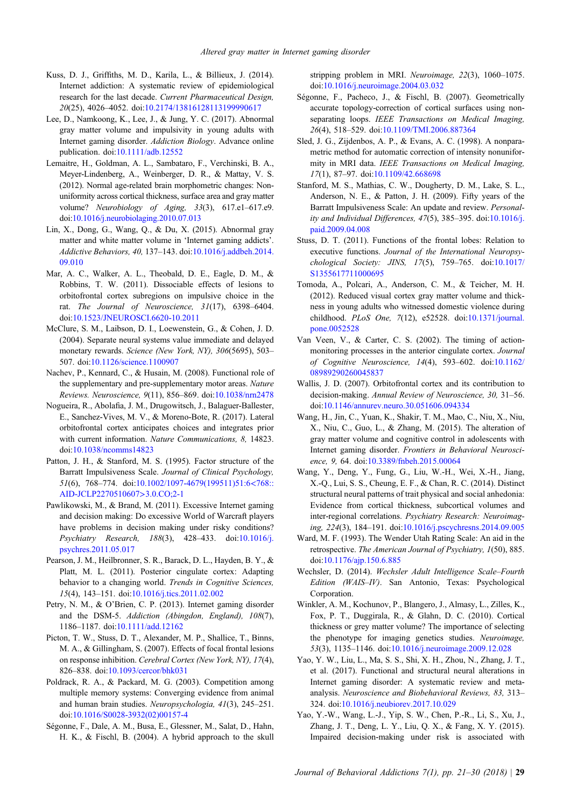- <span id="page-8-0"></span>Kuss, D. J., Griffiths, M. D., Karila, L., & Billieux, J. (2014). Internet addiction: A systematic review of epidemiological research for the last decade. Current Pharmaceutical Design, 20(25), 4026–4052. doi[:10.2174/13816128113199990617](http://dx.doi.org/10.2174/13816128113199990617)
- Lee, D., Namkoong, K., Lee, J., & Jung, Y. C. (2017). Abnormal gray matter volume and impulsivity in young adults with Internet gaming disorder. Addiction Biology. Advance online publication. doi[:10.1111/adb.12552](http://dx.doi.org/10.1111/adb.12552)
- Lemaitre, H., Goldman, A. L., Sambataro, F., Verchinski, B. A., Meyer-Lindenberg, A., Weinberger, D. R., & Mattay, V. S. (2012). Normal age-related brain morphometric changes: Nonuniformity across cortical thickness, surface area and gray matter volume? Neurobiology of Aging, 33(3), 617.e1–617.e9. doi:[10.1016/j.neurobiolaging.2010.07.013](http://dx.doi.org/10.1016/j.neurobiolaging.2010.07.013)
- Lin, X., Dong, G., Wang, Q., & Du, X. (2015). Abnormal gray matter and white matter volume in 'Internet gaming addicts'. Addictive Behaviors, 40, 137–143. doi:[10.1016/j.addbeh.2014.](http://dx.doi.org/10.1016/j.addbeh.2014.09.010) [09.010](http://dx.doi.org/10.1016/j.addbeh.2014.09.010)
- Mar, A. C., Walker, A. L., Theobald, D. E., Eagle, D. M., & Robbins, T. W. (2011). Dissociable effects of lesions to orbitofrontal cortex subregions on impulsive choice in the rat. The Journal of Neuroscience, 31(17), 6398–6404. doi:[10.1523/JNEUROSCI.6620-10.2011](http://dx.doi.org/10.1523/JNEUROSCI.6620-10.2011)
- McClure, S. M., Laibson, D. I., Loewenstein, G., & Cohen, J. D. (2004). Separate neural systems value immediate and delayed monetary rewards. Science (New York, NY), 306(5695), 503– 507. doi:[10.1126/science.1100907](http://dx.doi.org/10.1126/science.1100907)
- Nachev, P., Kennard, C., & Husain, M. (2008). Functional role of the supplementary and pre-supplementary motor areas. Nature Reviews. Neuroscience, 9(11), 856–869. doi[:10.1038/nrn2478](http://dx.doi.org/10.1038/nrn2478)
- Nogueira, R., Abolafia, J. M., Drugowitsch, J., Balaguer-Ballester, E., Sanchez-Vives, M. V., & Moreno-Bote, R. (2017). Lateral orbitofrontal cortex anticipates choices and integrates prior with current information. Nature Communications, 8, 14823. doi:[10.1038/ncomms14823](http://dx.doi.org/10.1038/ncomms14823)
- Patton, J. H., & Stanford, M. S. (1995). Factor structure of the Barratt Impulsiveness Scale. Journal of Clinical Psychology, 51(6), 768–774. doi:[10.1002/1097-4679\(199511\)51:6](http://dx.doi.org/10.1002/1097-4679(199511)51:6%3C768::AID-JCLP2270510607%3E3.0.CO;2-1)<768:: [AID-JCLP2270510607](http://dx.doi.org/10.1002/1097-4679(199511)51:6%3C768::AID-JCLP2270510607%3E3.0.CO;2-1)>3.0.CO;2-1
- Pawlikowski, M., & Brand, M. (2011). Excessive Internet gaming and decision making: Do excessive World of Warcraft players have problems in decision making under risky conditions? Psychiatry Research, 188(3), 428–433. doi[:10.1016/j.](http://dx.doi.org/10.1016/j.psychres.2011.05.017) [psychres.2011.05.017](http://dx.doi.org/10.1016/j.psychres.2011.05.017)
- Pearson, J. M., Heilbronner, S. R., Barack, D. L., Hayden, B. Y., & Platt, M. L. (2011). Posterior cingulate cortex: Adapting behavior to a changing world. Trends in Cognitive Sciences, 15(4), 143–151. doi[:10.1016/j.tics.2011.02.002](http://dx.doi.org/10.1016/j.tics.2011.02.002)
- Petry, N. M., & O'Brien, C. P. (2013). Internet gaming disorder and the DSM-5. Addiction (Abingdon, England), 108(7), 1186–1187. doi:[10.1111/add.12162](http://dx.doi.org/10.1111/add.12162)
- Picton, T. W., Stuss, D. T., Alexander, M. P., Shallice, T., Binns, M. A., & Gillingham, S. (2007). Effects of focal frontal lesions on response inhibition. Cerebral Cortex (New York, NY), 17(4), 826–838. doi:[10.1093/cercor/bhk031](http://dx.doi.org/10.1093/cercor)
- Poldrack, R. A., & Packard, M. G. (2003). Competition among multiple memory systems: Converging evidence from animal and human brain studies. Neuropsychologia, 41(3), 245–251. doi:[10.1016/S0028-3932\(02\)00157-4](http://dx.doi.org/10.1016/S0028-3932(02)00157-4)
- Ségonne, F., Dale, A. M., Busa, E., Glessner, M., Salat, D., Hahn, H. K., & Fischl, B. (2004). A hybrid approach to the skull

stripping problem in MRI. Neuroimage, 22(3), 1060–1075. doi[:10.1016/j.neuroimage.2004.03.032](http://dx.doi.org/10.1016/j.neuroimage.2004.03.032)

- Ségonne, F., Pacheco, J., & Fischl, B. (2007). Geometrically accurate topology-correction of cortical surfaces using nonseparating loops. IEEE Transactions on Medical Imaging, 26(4), 518–529. doi:[10.1109/TMI.2006.887364](http://dx.doi.org/10.1109/TMI.2006.887364)
- Sled, J. G., Zijdenbos, A. P., & Evans, A. C. (1998). A nonparametric method for automatic correction of intensity nonuniformity in MRI data. IEEE Transactions on Medical Imaging, 17(1), 87–97. doi:[10.1109/42.668698](http://dx.doi.org/10.1109/42.668698)
- Stanford, M. S., Mathias, C. W., Dougherty, D. M., Lake, S. L., Anderson, N. E., & Patton, J. H. (2009). Fifty years of the Barratt Impulsiveness Scale: An update and review. Personality and Individual Differences, 47(5), 385–395. doi:[10.1016/j.](http://dx.doi.org/10.1016/j.paid.2009.04.008) [paid.2009.04.008](http://dx.doi.org/10.1016/j.paid.2009.04.008)
- Stuss, D. T. (2011). Functions of the frontal lobes: Relation to executive functions. Journal of the International Neuropsychological Society: JINS, 17(5), 759–765. doi[:10.1017/](http://dx.doi.org/10.1017/S1355617711000695) [S1355617711000695](http://dx.doi.org/10.1017/S1355617711000695)
- Tomoda, A., Polcari, A., Anderson, C. M., & Teicher, M. H. (2012). Reduced visual cortex gray matter volume and thickness in young adults who witnessed domestic violence during childhood. PLoS One, 7(12), e52528. doi:[10.1371/journal.](http://dx.doi.org/10.1371/journal.pone.0052528) [pone.0052528](http://dx.doi.org/10.1371/journal.pone.0052528)
- Van Veen, V., & Carter, C. S. (2002). The timing of actionmonitoring processes in the anterior cingulate cortex. Journal of Cognitive Neuroscience, 14(4), 593–602. doi[:10.1162/](http://dx.doi.org/10.1162/08989290260045837) [08989290260045837](http://dx.doi.org/10.1162/08989290260045837)
- Wallis, J. D. (2007). Orbitofrontal cortex and its contribution to decision-making. Annual Review of Neuroscience, 30, 31–56. doi[:10.1146/annurev.neuro.30.051606.094334](http://dx.doi.org/10.1146/annurev.neuro.30.051606.094334)
- Wang, H., Jin, C., Yuan, K., Shakir, T. M., Mao, C., Niu, X., Niu, X., Niu, C., Guo, L., & Zhang, M. (2015). The alteration of gray matter volume and cognitive control in adolescents with Internet gaming disorder. Frontiers in Behavioral Neuroscience, 9, 64. doi[:10.3389/fnbeh.2015.00064](http://dx.doi.org/10.3389/fnbeh.2015.00064)
- Wang, Y., Deng, Y., Fung, G., Liu, W.-H., Wei, X.-H., Jiang, X.-Q., Lui, S. S., Cheung, E. F., & Chan, R. C. (2014). Distinct structural neural patterns of trait physical and social anhedonia: Evidence from cortical thickness, subcortical volumes and inter-regional correlations. Psychiatry Research: Neuroimaging, 224(3), 184–191. doi[:10.1016/j.pscychresns.2014.09.005](http://dx.doi.org/10.1016/j.pscychresns.2014.09.005)
- Ward, M. F. (1993). The Wender Utah Rating Scale: An aid in the retrospective. The American Journal of Psychiatry, 1(50), 885. doi[:10.1176/ajp.150.6.885](http://dx.doi.org/10.1176/ajp.150.6.885)
- Wechsler, D. (2014). Wechsler Adult Intelligence Scale–Fourth Edition (WAIS–IV). San Antonio, Texas: Psychological Corporation.
- Winkler, A. M., Kochunov, P., Blangero, J., Almasy, L., Zilles, K., Fox, P. T., Duggirala, R., & Glahn, D. C. (2010). Cortical thickness or grey matter volume? The importance of selecting the phenotype for imaging genetics studies. Neuroimage, 53(3), 1135–1146. doi:[10.1016/j.neuroimage.2009.12.028](http://dx.doi.org/10.1016/j.neuroimage.2009.12.028)
- Yao, Y. W., Liu, L., Ma, S. S., Shi, X. H., Zhou, N., Zhang, J. T., et al. (2017). Functional and structural neural alterations in Internet gaming disorder: A systematic review and metaanalysis. Neuroscience and Biobehavioral Reviews, 83, 313– 324. doi[:10.1016/j.neubiorev.2017.10.029](http://dx.doi.org/10.1016/j.neubiorev.2017.10.029)
- Yao, Y.-W., Wang, L.-J., Yip, S. W., Chen, P.-R., Li, S., Xu, J., Zhang, J. T., Deng, L. Y., Liu, Q. X., & Fang, X. Y. (2015). Impaired decision-making under risk is associated with